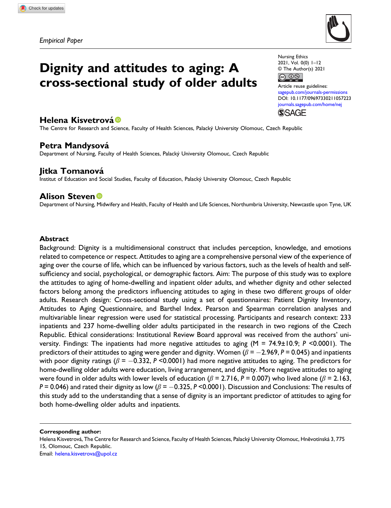Empirical Paper



# Dignity and attitudes to aging: A cross-sectional study of older adults

Nursing Ethics 2021, Vol. 0(0) 1–12 © The Author(s) 2021  $\circledcirc$   $\circledcirc$ 

Article reuse guidelines: [sagepub.com/journals-permissions](https://uk.sagepub.com/en-gb/journals-permissions) DOI: [10.1177/09697330211057223](https://doi.org/10.1177/09697330211057223) [journals.sagepub.com/home/nej](https://journals.sagepub.com/home/nej) **SSAGE** 

# Helena Kisvetrová ®

The Centre for Research and Science, Faculty of Health Sciences, Palacký University Olomouc, Czech Republic

# Petra Mandysová

Department of Nursing, Faculty of Health Sciences, Palacky University Olomouc, Czech Republic ´

# Jitka Tomanová

Institut of Education and Social Studies, Faculty of Education, Palacky University Olomouc, Czech Republic ´

# **Alison Steven**<sup>®</sup>

Department of Nursing, Midwifery and Health, Faculty of Health and Life Sciences, Northumbria University, Newcastle upon Tyne, UK

## Abstract

Background: Dignity is a multidimensional construct that includes perception, knowledge, and emotions related to competence or respect. Attitudes to aging are a comprehensive personal view of the experience of aging over the course of life, which can be influenced by various factors, such as the levels of health and selfsufficiency and social, psychological, or demographic factors. Aim: The purpose of this study was to explore the attitudes to aging of home-dwelling and inpatient older adults, and whether dignity and other selected factors belong among the predictors influencing attitudes to aging in these two different groups of older adults. Research design: Cross-sectional study using a set of questionnaires: Patient Dignity Inventory, Attitudes to Aging Questionnaire, and Barthel Index. Pearson and Spearman correlation analyses and multivariable linear regression were used for statistical processing. Participants and research context: 233 inpatients and 237 home-dwelling older adults participated in the research in two regions of the Czech Republic. Ethical considerations: Institutional Review Board approval was received from the authors' university. Findings: The inpatients had more negative attitudes to aging (M = 74.9±10.9; P <0.0001). The predictors of their attitudes to aging were gender and dignity. Women ( $\beta$  = -2.969, P = 0.045) and inpatients with poor dignity ratings ( $\beta = -0.332$ , P <0.0001) had more negative attitudes to aging. The predictors for home-dwelling older adults were education, living arrangement, and dignity. More negative attitudes to aging were found in older adults with lower levels of education ( $\beta$  = 2.716, P = 0.007) who lived alone ( $\beta$  = 2.163, P = 0.046) and rated their dignity as low ( $\beta$  = -0.325, P <0.0001). Discussion and Conclusions: The results of this study add to the understanding that a sense of dignity is an important predictor of attitudes to aging for both home-dwelling older adults and inpatients.

Corresponding author:

Helena Kisvetrová, The Centre for Research and Science, Faculty of Health Sciences, Palacký University Olomouc, Hněvotínská 3, 775 15, Olomouc, Czech Republic.

Email: [helena.kisvetrova@upol.cz](mailto:helena.kisvetrova@upol.cz)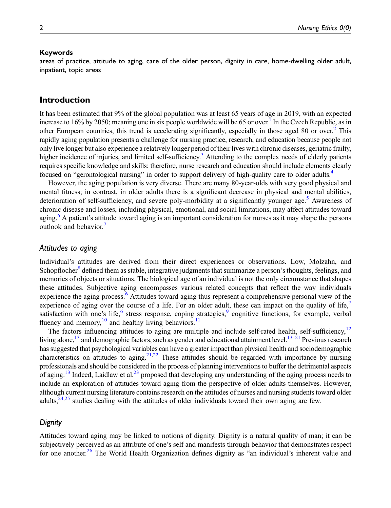#### Keywords

areas of practice, attitude to aging, care of the older person, dignity in care, home-dwelling older adult, inpatient, topic areas

## Introduction

It has been estimated that 9% of the global population was at least 65 years of age in 2019, with an expected increase to 16% by 2050; meaning one in six people worldwide will be 65 or over.<sup>1</sup> In the Czech Republic, as in other European countries, this trend is accelerating significantly, especially in those aged 80 or over[.2](#page-9-1) This rapidly aging population presents a challenge for nursing practice, research, and education because people not only live longer but also experience a relatively longer period of their lives with chronic diseases, geriatric frailty, higher incidence of injuries, and limited self-sufficiency.<sup>3</sup> Attending to the complex needs of elderly patients requires specific knowledge and skills; therefore, nurse research and education should include elements clearly focused on "gerontological nursing" in order to support delivery of high-quality care to older adults[.4](#page-9-3)

However, the aging population is very diverse. There are many 80-year-olds with very good physical and mental fitness; in contrast, in older adults there is a significant decrease in physical and mental abilities, deterioration of self-sufficiency, and severe poly-morbidity at a significantly younger age.<sup>[5](#page-9-4)</sup> Awareness of chronic disease and losses, including physical, emotional, and social limitations, may affect attitudes toward aging.<sup>[6](#page-9-5)</sup> A patient's attitude toward aging is an important consideration for nurses as it may shape the persons outlook and behavior.<sup>[7](#page-9-6)</sup>

## Attitudes to aging

Individual's attitudes are derived from their direct experiences or observations. Low, Molzahn, and Schopflocher<sup>[8](#page-9-7)</sup> defined them as stable, integrative judgments that summarize a person's thoughts, feelings, and memories of objects or situations. The biological age of an individual is not the only circumstance that shapes these attitudes. Subjective aging encompasses various related concepts that reflect the way individuals experience the aging process.<sup>[6](#page-9-5)</sup> Attitudes toward aging thus represent a comprehensive personal view of the experience of aging over the course of a life. For an older adult, these can impact on the quality of life, satisfaction with one's life, $6$  stress response, coping strategies, $9$  cognitive functions, for example, verbal fluency and memory, $10$  and healthy living behaviors.<sup>11</sup>

The factors influencing attitudes to aging are multiple and include self-rated health, self-sufficiency, $12$ living alone,<sup>[13](#page-10-1)</sup> and demographic factors, such as gender and educational attainment level.<sup>13–[21](#page-10-2)</sup> Previous research has suggested that psychological variables can have a greater impact than physical health and sociodemographic characteristics on attitudes to aging.<sup>[21,](#page-10-2)[22](#page-10-3)</sup> These attitudes should be regarded with importance by nursing professionals and should be considered in the process of planning interventions to buffer the detrimental aspects of aging.<sup>[13](#page-10-1)</sup> Indeed, Laidlaw et al.<sup>23</sup> proposed that developing any understanding of the aging process needs to include an exploration of attitudes toward aging from the perspective of older adults themselves. However, although current nursing literature contains research on the attitudes of nurses and nursing students toward older adults,<sup>[24,](#page-10-5)[25](#page-10-6)</sup> studies dealing with the attitudes of older individuals toward their own aging are few.

#### **Dignity**

Attitudes toward aging may be linked to notions of dignity. Dignity is a natural quality of man; it can be subjectively perceived as an attribute of one's self and manifests through behavior that demonstrates respect for one another.<sup>[26](#page-10-7)</sup> The World Health Organization defines dignity as "an individual's inherent value and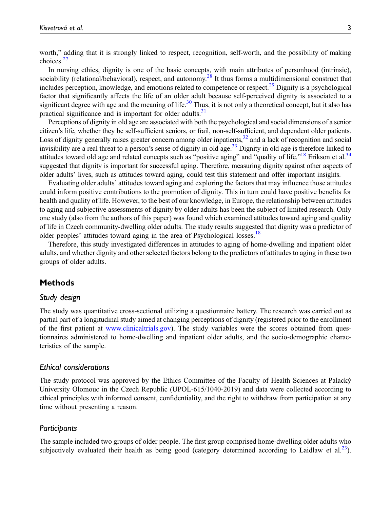worth," adding that it is strongly linked to respect, recognition, self-worth, and the possibility of making choices.<sup>[27](#page-10-8)</sup>

In nursing ethics, dignity is one of the basic concepts, with main attributes of personhood (intrinsic), sociability (relational/behavioral), respect, and autonomy.<sup>[28](#page-10-9)</sup> It thus forms a multidimensional construct that includes perception, knowledge, and emotions related to competence or respect.[29](#page-10-10) Dignity is a psychological factor that significantly affects the life of an older adult because self-perceived dignity is associated to a significant degree with age and the meaning of life.<sup>[30](#page-10-11)</sup> Thus, it is not only a theoretical concept, but it also has practical significance and is important for older adults.<sup>31</sup>

Perceptions of dignity in old age are associated with both the psychological and social dimensions of a senior citizen's life, whether they be self-sufficient seniors, or frail, non-self-sufficient, and dependent older patients. Loss of dignity generally raises greater concern among older inpatients, $32$  and a lack of recognition and social invisibility are a real threat to a person's sense of dignity in old age.<sup>[33](#page-10-14)</sup> Dignity in old age is therefore linked to attitudes toward old age and related concepts such as "positive aging" and "quality of life."<sup>[18](#page-10-15)</sup> Erikson et al.<sup>34</sup> suggested that dignity is important for successful aging. Therefore, measuring dignity against other aspects of older adults' lives, such as attitudes toward aging, could test this statement and offer important insights.

Evaluating older adults' attitudes toward aging and exploring the factors that may influence those attitudes could inform positive contributions to the promotion of dignity. This in turn could have positive benefits for health and quality of life. However, to the best of our knowledge, in Europe, the relationship between attitudes to aging and subjective assessments of dignity by older adults has been the subject of limited research. Only one study (also from the authors of this paper) was found which examined attitudes toward aging and quality of life in Czech community-dwelling older adults. The study results suggested that dignity was a predictor of older peoples' attitudes toward aging in the area of Psychological losses.<sup>[18](#page-10-15)</sup>

Therefore, this study investigated differences in attitudes to aging of home-dwelling and inpatient older adults, and whether dignity and other selected factors belong to the predictors of attitudes to aging in these two groups of older adults.

## Methods

#### Study design

The study was quantitative cross-sectional utilizing a questionnaire battery. The research was carried out as partial part of a longitudinal study aimed at changing perceptions of dignity (registered prior to the enrollment of the first patient at [www.clinicaltrials.gov](http://www.clinicaltrials.gov)). The study variables were the scores obtained from questionnaires administered to home-dwelling and inpatient older adults, and the socio-demographic characteristics of the sample.

#### Ethical considerations

The study protocol was approved by the Ethics Committee of the Faculty of Health Sciences at Palacky´ University Olomouc in the Czech Republic (UPOL-615/1040-2019) and data were collected according to ethical principles with informed consent, confidentiality, and the right to withdraw from participation at any time without presenting a reason.

#### **Participants**

The sample included two groups of older people. The first group comprised home-dwelling older adults who subjectively evaluated their health as being good (category determined according to Laidlaw et al. $^{23}$ ).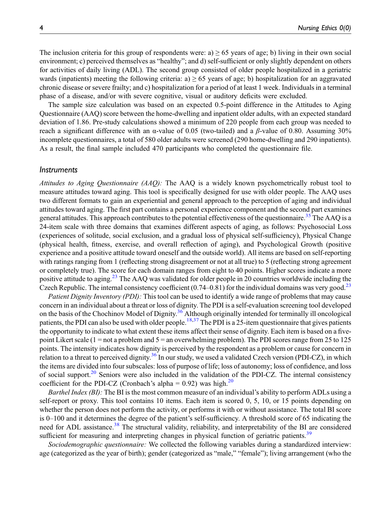The inclusion criteria for this group of respondents were: a)  $\geq$  65 years of age; b) living in their own social environment; c) perceived themselves as "healthy"; and d) self-sufficient or only slightly dependent on others for activities of daily living (ADL). The second group consisted of older people hospitalized in a geriatric wards (inpatients) meeting the following criteria: a)  $\geq$  65 years of age; b) hospitalization for an aggravated chronic disease or severe frailty; and c) hospitalization for a period of at least 1 week. Individuals in a terminal phase of a disease, and/or with severe cognitive, visual or auditory deficits were excluded.

The sample size calculation was based on an expected 0.5-point difference in the Attitudes to Aging Questionnaire (AAQ) score between the home-dwelling and inpatient older adults, with an expected standard deviation of 1.86. Pre-study calculations showed a minimum of 220 people from each group was needed to reach a significant difference with an α-value of 0.05 (two-tailed) and a β-value of 0.80. Assuming 30% incomplete questionnaires, a total of 580 older adults were screened (290 home-dwelling and 290 inpatients). As a result, the final sample included 470 participants who completed the questionnaire file.

#### **Instruments**

Attitudes to Aging Questionnaire (AAQ): The AAQ is a widely known psychometrically robust tool to measure attitudes toward aging. This tool is specifically designed for use with older people. The AAQ uses two different formats to gain an experiential and general approach to the perception of aging and individual attitudes toward aging. The first part contains a personal experience component and the second part examines general attitudes. This approach contributes to the potential effectiveness of the questionnaire.<sup>[35](#page-11-1)</sup> The AAQ is a 24-item scale with three domains that examines different aspects of aging, as follows: Psychosocial Loss (experiences of solitude, social exclusion, and a gradual loss of physical self-sufficiency), Physical Change (physical health, fitness, exercise, and overall reflection of aging), and Psychological Growth (positive experience and a positive attitude toward oneself and the outside world). All items are based on self-reporting with ratings ranging from 1 (reflecting strong disagreement or not at all true) to 5 (reflecting strong agreement or completely true). The score for each domain ranges from eight to 40 points. Higher scores indicate a more positive attitude to aging.[23](#page-10-4) The AAQ was validated for older people in 20 countries worldwide including the Czech Republic. The internal consistency coefficient  $(0.74-0.81)$  for the individual domains was very good.<sup>[23](#page-10-4)</sup>

Patient Dignity Inventory (PDI): This tool can be used to identify a wide range of problems that may cause concern in an individual about a threat or loss of dignity. The PDI is a self-evaluation screening tool developed on the basis of the Chochinov Model of Dignity.[36](#page-11-2) Although originally intended for terminally ill oncological patients, the PDI can also be used with older people.<sup>[18](#page-10-15)[,37](#page-11-3)</sup> The PDI is a 25-item questionnaire that gives patients the opportunity to indicate to what extent these items affect their sense of dignity. Each item is based on a fivepoint Likert scale (1 = not a problem and 5 = an overwhelming problem). The PDI scores range from 25 to 125 points. The intensity indicates how dignity is perceived by the respondent as a problem or cause for concern in relation to a threat to perceived dignity.<sup>[36](#page-11-2)</sup> In our study, we used a validated Czech version (PDI-CZ), in which the items are divided into four subscales: loss of purpose of life; loss of autonomy; loss of confidence, and loss of social support. $20$  Seniors were also included in the validation of the PDI-CZ. The internal consistency coefficient for the PDI-CZ (Cronbach's alpha =  $0.92$ ) was high.<sup>[20](#page-10-16)</sup>

Barthel Index (BI): The BI is the most common measure of an individual's ability to perform ADLs using a self-report or proxy. This tool contains 10 items. Each item is scored 0, 5, 10, or 15 points depending on whether the person does not perform the activity, or performs it with or without assistance. The total BI score is 0–100 and it determines the degree of the patient's self-sufficiency. A threshold score of 65 indicating the need for ADL assistance.<sup>[38](#page-11-4)</sup> The structural validity, reliability, and interpretability of the BI are considered sufficient for measuring and interpreting changes in physical function of geriatric patients.<sup>[39](#page-11-5)</sup>

Sociodemographic questionnaire: We collected the following variables during a standardized interview: age (categorized as the year of birth); gender (categorized as "male," "female"); living arrangement (who the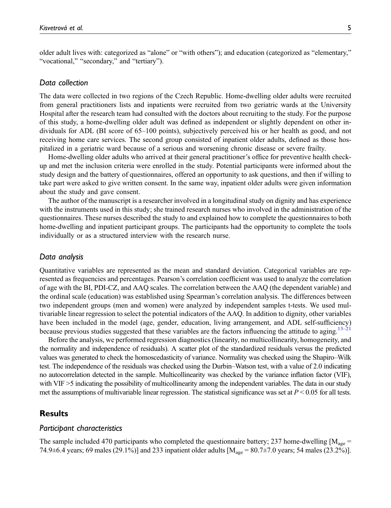older adult lives with: categorized as "alone" or "with others"); and education (categorized as "elementary," "vocational," "secondary," and "tertiary").

#### Data collection

The data were collected in two regions of the Czech Republic. Home-dwelling older adults were recruited from general practitioners lists and inpatients were recruited from two geriatric wards at the University Hospital after the research team had consulted with the doctors about recruiting to the study. For the purpose of this study, a home-dwelling older adult was defined as independent or slightly dependent on other individuals for ADL (BI score of 65–100 points), subjectively perceived his or her health as good, and not receiving home care services. The second group consisted of inpatient older adults, defined as those hospitalized in a geriatric ward because of a serious and worsening chronic disease or severe frailty.

Home-dwelling older adults who arrived at their general practitioner's office for preventive health checkup and met the inclusion criteria were enrolled in the study. Potential participants were informed about the study design and the battery of questionnaires, offered an opportunity to ask questions, and then if willing to take part were asked to give written consent. In the same way, inpatient older adults were given information about the study and gave consent.

The author of the manuscript is a researcher involved in a longitudinal study on dignity and has experience with the instruments used in this study; she trained research nurses who involved in the administration of the questionnaires. These nurses described the study to and explained how to complete the questionnaires to both home-dwelling and inpatient participant groups. The participants had the opportunity to complete the tools individually or as a structured interview with the research nurse.

#### Data analysis

Quantitative variables are represented as the mean and standard deviation. Categorical variables are represented as frequencies and percentages. Pearson's correlation coefficient was used to analyze the correlation of age with the BI, PDI-CZ, and AAQ scales. The correlation between the AAQ (the dependent variable) and the ordinal scale (education) was established using Spearman's correlation analysis. The differences between two independent groups (men and women) were analyzed by independent samples t-tests. We used multivariable linear regression to select the potential indicators of the AAQ. In addition to dignity, other variables have been included in the model (age, gender, education, living arrangement, and ADL self-sufficiency) because previous studies suggested that these variables are the factors influencing the attitude to aging.<sup>[13](#page-10-1)–[21](#page-10-2)</sup>

Before the analysis, we performed regression diagnostics (linearity, no multicollinearity, homogeneity, and the normality and independence of residuals). A scatter plot of the standardized residuals versus the predicted values was generated to check the homoscedasticity of variance. Normality was checked using the Shapiro–Wilk test. The independence of the residuals was checked using the Durbin–Watson test, with a value of 2.0 indicating no autocorrelation detected in the sample. Multicollinearity was checked by the variance inflation factor (VIF), with VIF >5 indicating the possibility of multicollinearity among the independent variables. The data in our study met the assumptions of multivariable linear regression. The statistical significance was set at  $P < 0.05$  for all tests.

## **Results**

#### Participant characteristics

The sample included 470 participants who completed the questionnaire battery; 237 home-dwelling  $[M_{\text{age}} =$ 74.9 $\pm$ 6.4 years; 69 males (29.1%)] and 233 inpatient older adults [ $M_{\text{age}} = 80.7 \pm 7.0$  years; 54 males (23.2%)].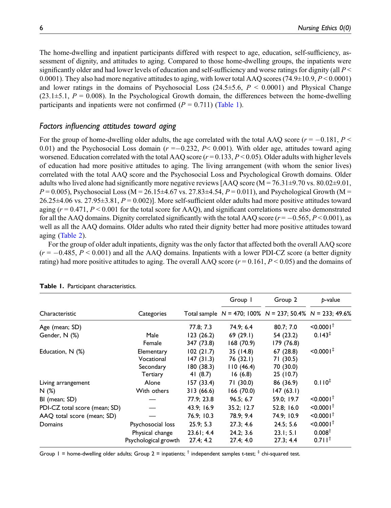The home-dwelling and inpatient participants differed with respect to age, education, self-sufficiency, assessment of dignity, and attitudes to aging. Compared to those home-dwelling groups, the inpatients were significantly older and had lower levels of education and self-sufficiency and worse ratings for dignity (all  $P \leq$ 0.0001). They also had more negative attitudes to aging, with lower total AAQ scores (74.9 $\pm$ 10.9, P < 0.0001) and lower ratings in the domains of Psychosocial Loss  $(24.5\pm5.6, P \le 0.0001)$  and Physical Change  $(23.1\pm5.1, P = 0.008)$ . In the Psychological Growth domain, the differences between the home-dwelling participants and inpatients were not confirmed  $(P = 0.711)$  [\(Table 1](#page-5-0)).

## Factors influencing attitudes toward aging

For the group of home-dwelling older adults, the age correlated with the total AAQ score ( $r = -0.181, P <$ 0.01) and the Psychosocial Loss domain  $(r = -0.232, P < 0.001)$ . With older age, attitudes toward aging worsened. Education correlated with the total AAQ score  $(r = 0.133, P \le 0.05)$ . Older adults with higher levels of education had more positive attitudes to aging. The living arrangement (with whom the senior lives) correlated with the total AAQ score and the Psychosocial Loss and Psychological Growth domains. Older adults who lived alone had significantly more negative reviews [AAQ score ( $M = 76.31 \pm 9.70$  vs. 80.02 $\pm 9.01$ ,  $P = 0.005$ ), Psychosocial Loss (M = 26.15±4.67 vs. 27.83±4.54,  $P = 0.011$ ), and Psychological Growth (M =  $26.25\pm4.06$  vs.  $27.95\pm3.81$ ,  $P = 0.002$ ). More self-sufficient older adults had more positive attitudes toward aging  $(r = 0.471, P \le 0.001$  for the total score for AAQ), and significant correlations were also demonstrated for all the AAQ domains. Dignity correlated significantly with the total AAQ score ( $r = -0.565$ ,  $P \le 0.001$ ), as well as all the AAQ domains. Older adults who rated their dignity better had more positive attitudes toward aging ([Table 2\)](#page-6-0).

For the group of older adult inpatients, dignity was the only factor that affected both the overall AAQ score  $(r = -0.485, P \le 0.001)$  and all the AAO domains. Inpatients with a lower PDI-CZ score (a better dignity rating) had more positive attitudes to aging. The overall AAQ score ( $r = 0.161$ ,  $P \le 0.05$ ) and the domains of

|                               |                                                              |                                                 | Group 1                                        | Group 2                                                           | p-value                                                            |  |
|-------------------------------|--------------------------------------------------------------|-------------------------------------------------|------------------------------------------------|-------------------------------------------------------------------|--------------------------------------------------------------------|--|
| Characteristic                | Categories                                                   |                                                 |                                                | Total sample $N = 470$ ; 100% $N = 237$ ; 50.4% $N = 233$ ; 49.6% |                                                                    |  |
| Age (mean; SD)                |                                                              | 77.8; 7.3                                       | 74.9; 6.4                                      | 80.7; 7.0                                                         | $< 0.0001^{\dagger}$                                               |  |
| Gender, N (%)                 | Male<br>Female                                               | 123(26.2)<br>347 (73.8)                         | 69(29.1)<br>168(70.9)                          | 54 (23.2)<br>179 (76.8)                                           | $0.143^{\ddagger}$                                                 |  |
| Education, N (%)              | Elementary<br>Vocational<br>Secondary<br>Tertiary            | 102(21.7)<br>147(31.3)<br>180(38.3)<br>41 (8.7) | 35 (14.8)<br>76 (32.1)<br>110(46.4)<br>16(6.8) | 67 (28.8)<br>71 (30.5)<br>70 (30.0)<br>25 (10.7)                  | $< 0.0001$ <sup>#</sup>                                            |  |
| Living arrangement<br>N(%)    | Alone<br>With others                                         | 157 (33.4)<br>313(66.6)                         | 71 (30.0)<br>166 (70.0)                        | 86 (36.9)<br>147(63.1)                                            | $0.110^{4}$                                                        |  |
| BI (mean; SD)                 |                                                              | 77.9; 23.8                                      | 96.5; 6.7                                      | 59.0; 19.7                                                        | $< 0.0001^{\dagger}$                                               |  |
| PDI-CZ total score (mean; SD) |                                                              | 43.9; 16.9                                      | 35.2; 12.7                                     | 52.8; 16.0                                                        | $< 0.0001^{\dagger}$                                               |  |
| AAQ total score (mean; SD)    |                                                              | 76.9; 10.3                                      | 78.9: 9.4                                      | 74.9; 10.9                                                        | $< 0.0001^{\dagger}$                                               |  |
| Domains                       | Psychosocial loss<br>Physical change<br>Psychological growth | 25.9; 5.3<br>23.61; 4.4<br>27.4; 4.2            | 27.3; 4.6<br>24.2; 3.6<br>27.4; 4.0            | 24.5; 5.6<br>23.1; 5.1<br>27.3; 4.4                               | $< 0.0001^{\dagger}$<br>0.008 <sup>†</sup><br>$0.711$ <sup>†</sup> |  |

#### Table 1. Participant characteristics.

<span id="page-5-0"></span>Group 1 = home-dwelling older adults; Group 2 = inpatients;  $\dagger$  independent samples t-test;  $\dagger$  chi-squared test.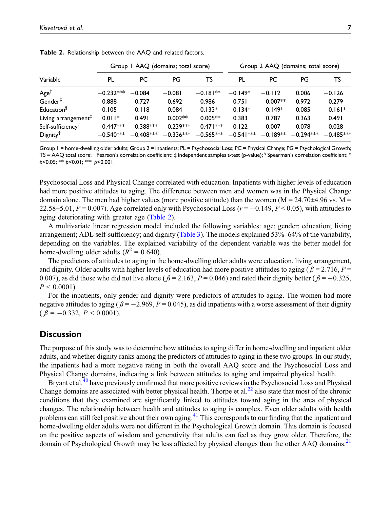|                                                     | Group I AAQ (domains; total score) |                           |                           |                           | Group 2 AAQ (domains; total score) |                        |                         |                      |
|-----------------------------------------------------|------------------------------------|---------------------------|---------------------------|---------------------------|------------------------------------|------------------------|-------------------------|----------------------|
| Variable                                            | PL                                 | PC                        | PG                        | TS                        | PL                                 | РC                     | PG                      | TS                   |
| Age <sup>†</sup>                                    | $-0.232***$                        | $-0.084$                  | $-0.081$                  | $-0.181**$                | $-0.149*$                          | $-0.112$               | 0.006                   | $-0.126$             |
| $Gender^{\ddagger}$                                 | 0.888                              | 0.727                     | 0.692                     | 0.986                     | 0.751                              | $0.007**$              | 0.972                   | 0.279                |
| Education <sup>§</sup>                              | 0.105                              | 0.118                     | 0.084                     | $0.133*$                  | $0.134*$                           | $0.149*$               | 0.085                   | $0.161*$             |
| Living arrangement $F$                              | $0.011*$                           | 0.491                     | $0.002**$                 | $0.005**$                 | 0.383                              | 0.787                  | 0.363                   | 0.491                |
| Self-sufficiency <sup>T</sup><br>$Digity^{\dagger}$ | $0.447***$<br>$-0.540^{*\approx}$  | $0.388***$<br>$-0.408***$ | $0.239***$<br>$-0.336***$ | $0.471***$<br>$-0.565***$ | 0.122<br>$-0.541***$               | $-0.007$<br>$-0.189**$ | $-0.078$<br>$-0.294***$ | 0.028<br>$-0.485***$ |

Table 2. Relationship between the AAQ and related factors.

<span id="page-6-0"></span>Group 1 = home-dwelling older adults; Group 2 = inpatients; PL = Psychosocial Loss; PC = Physical Change; PG = Psychological Growth; TS = AAQ total score;  $\dagger$  Pearson's correlation coefficient;  $\ddagger$  independent samples t-test (p-value);  $\dagger$  Spearman's correlation coefficient; \*  $p$ <0.05; \*\*  $p$ <0.01; \*\*\*  $p$ <0.001.

Psychosocial Loss and Physical Change correlated with education. Inpatients with higher levels of education had more positive attitudes to aging. The difference between men and women was in the Physical Change domain alone. The men had higher values (more positive attitude) than the women ( $M = 24.70 \pm 4.96$  vs.  $M =$ 22.58 $\pm$ 5.01, P = 0.007). Age correlated only with Psychosocial Loss ( $r = -0.149$ , P < 0.05), with attitudes to aging deteriorating with greater age ([Table 2](#page-6-0)).

A multivariate linear regression model included the following variables: age; gender; education; living arrangement; ADL self-sufficiency; and dignity ([Table 3\)](#page-7-0). The models explained 53%–64% of the variability, depending on the variables. The explained variability of the dependent variable was the better model for home-dwelling older adults ( $R^2 = 0.640$ ).

The predictors of attitudes to aging in the home-dwelling older adults were education, living arrangement, and dignity. Older adults with higher levels of education had more positive attitudes to aging ( $\beta = 2.716$ ,  $P =$ 0.007), as did those who did not live alone ( $\beta = 2.163$ ,  $P = 0.046$ ) and rated their dignity better ( $\beta = -0.325$ ,  $P < 0.0001$ ).

For the inpatients, only gender and dignity were predictors of attitudes to aging. The women had more negative attitudes to aging ( $\beta = -2.969$ ,  $P = 0.045$ ), as did inpatients with a worse assessment of their dignity  $(\beta = -0.332, P \le 0.0001).$ 

## **Discussion**

The purpose of this study was to determine how attitudes to aging differ in home-dwelling and inpatient older adults, and whether dignity ranks among the predictors of attitudes to aging in these two groups. In our study, the inpatients had a more negative rating in both the overall AAQ score and the Psychosocial Loss and Physical Change domains, indicating a link between attitudes to aging and impaired physical health.

Bryant et al.[40](#page-11-6) have previously confirmed that more positive reviews in the Psychosocial Loss and Physical Change domains are associated with better physical health. Thorpe et al.<sup>22</sup> also state that most of the chronic conditions that they examined are significantly linked to attitudes toward aging in the area of physical changes. The relationship between health and attitudes to aging is complex. Even older adults with health problems can still feel positive about their own aging.<sup>[41](#page-11-7)</sup> This corresponds to our finding that the inpatient and home-dwelling older adults were not different in the Psychological Growth domain. This domain is focused on the positive aspects of wisdom and generativity that adults can feel as they grow older. Therefore, the domain of Psychological Growth may be less affected by physical changes than the other AAQ domains.<sup>[21](#page-10-2)</sup>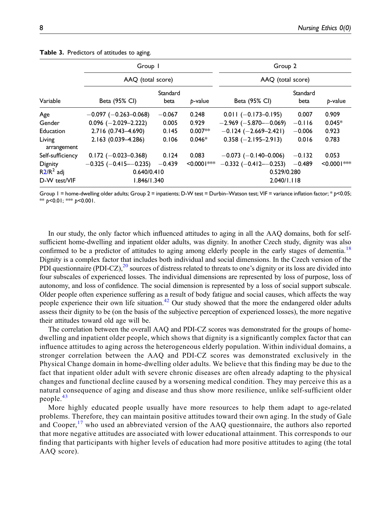|                       | Group I                       |                  |                | Group 2<br>AAQ (total score)   |                  |                |  |
|-----------------------|-------------------------------|------------------|----------------|--------------------------------|------------------|----------------|--|
|                       | AAO (total score)             |                  |                |                                |                  |                |  |
| Variable              | Beta (95% CI)                 | Standard<br>beta | b-value        | Beta (95% CI)                  | Standard<br>beta | p-value        |  |
| Age                   | $-0.097$ ( $-0.263 - 0.068$ ) | $-0.067$         | 0.248          | $0.011 (-0.173 - 0.195)$       | 0.007            | 0.909          |  |
| Gender                | $0.096$ (-2.029-2.222)        | 0.005            | 0.929          | $-2.969$ ( $-5.870$ $-0.069$ ) | $-0.116$         | $0.045*$       |  |
| Education             | 2.716 (0.743-4.690)           | 0.145            | $0.007**$      | $-0.124$ ( $-2.669-2.421$ )    | $-0.006$         | 0.923          |  |
| Living<br>arrangement | 2.163 (0.039-4.286)           | 0.106            | $0.046*$       | $0.358 (-2.195 - 2.913)$       | 0.016            | 0.783          |  |
| Self-sufficiency      | $0.172 (-0.023 - 0.368)$      | 0.124            | 0.083          | $-0.073$ (-0.140-0.006)        | $-0.132$         | 0.053          |  |
| Dignity               | $-0.325$ ( $-0.415-0.235$ )   | $-0.439$         | $< 0.0001$ *** | $-0.332$ ( $-0.412 - 0.253$ )  | $-0.489$         | $< 0.0001$ *** |  |
| $R2/R2$ adj           | 0.640/0.410                   |                  |                | 0.529/0.280                    |                  |                |  |
| D-W test/VIF          | 1.846/1.340                   |                  |                | 2.040/1.118                    |                  |                |  |

Table 3. Predictors of attitudes to aging.

<span id="page-7-0"></span>Group 1 = home-dwelling older adults; Group 2 = inpatients; D-W test = Durbin–Watson test; VIF = variance inflation factor; \* p<0.05; \*\*  $p$ <0.01; \*\*\*  $p$ <0.001.

In our study, the only factor which influenced attitudes to aging in all the AAQ domains, both for selfsufficient home-dwelling and inpatient older adults, was dignity. In another Czech study, dignity was also confirmed to be a predictor of attitudes to aging among elderly people in the early stages of dementia.<sup>[18](#page-10-15)</sup> Dignity is a complex factor that includes both individual and social dimensions. In the Czech version of the PDI questionnaire (PDI-CZ), $^{20}$  $^{20}$  $^{20}$  sources of distress related to threats to one's dignity or its loss are divided into four subscales of experienced losses. The individual dimensions are represented by loss of purpose, loss of autonomy, and loss of confidence. The social dimension is represented by a loss of social support subscale. Older people often experience suffering as a result of body fatigue and social causes, which affects the way people experience their own life situation.[42](#page-11-8) Our study showed that the more the endangered older adults assess their dignity to be (on the basis of the subjective perception of experienced losses), the more negative their attitudes toward old age will be.

The correlation between the overall AAQ and PDI-CZ scores was demonstrated for the groups of homedwelling and inpatient older people, which shows that dignity is a significantly complex factor that can influence attitudes to aging across the heterogeneous elderly population. Within individual domains, a stronger correlation between the AAQ and PDI-CZ scores was demonstrated exclusively in the Physical Change domain in home-dwelling older adults. We believe that this finding may be due to the fact that inpatient older adult with severe chronic diseases are often already adapting to the physical changes and functional decline caused by a worsening medical condition. They may perceive this as a natural consequence of aging and disease and thus show more resilience, unlike self-sufficient older people.[43](#page-11-9)

More highly educated people usually have more resources to help them adapt to age-related problems. Therefore, they can maintain positive attitudes toward their own aging. In the study of Gale and Cooper,<sup>[17](#page-10-17)</sup> who used an abbreviated version of the AAQ questionnaire, the authors also reported that more negative attitudes are associated with lower educational attainment. This corresponds to our finding that participants with higher levels of education had more positive attitudes to aging (the total AAQ score).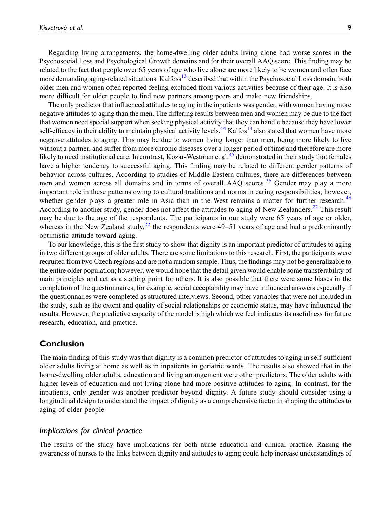Regarding living arrangements, the home-dwelling older adults living alone had worse scores in the Psychosocial Loss and Psychological Growth domains and for their overall AAQ score. This finding may be related to the fact that people over 65 years of age who live alone are more likely to be women and often face more demanding aging-related situations. Kalfoss<sup>[13](#page-10-1)</sup> described that within the Psychosocial Loss domain, both older men and women often reported feeling excluded from various activities because of their age. It is also more difficult for older people to find new partners among peers and make new friendships.

The only predictor that influenced attitudes to aging in the inpatients was gender, with women having more negative attitudes to aging than the men. The differing results between men and women may be due to the fact that women need special support when seeking physical activity that they can handle because they have lower self-efficacy in their ability to maintain physical activity levels.<sup>[44](#page-11-10)</sup> Kalfos<sup>13</sup> also stated that women have more negative attitudes to aging. This may be due to women living longer than men, being more likely to live without a partner, and suffer from more chronic diseases over a longer period of time and therefore are more likely to need institutional care. In contrast, Kozar-Westman et al.<sup>[45](#page-11-11)</sup> demonstrated in their study that females have a higher tendency to successful aging. This finding may be related to different gender patterns of behavior across cultures. According to studies of Middle Eastern cultures, there are differences between men and women across all domains and in terms of overall AAQ scores.<sup>[35](#page-11-1)</sup> Gender may play a more important role in these patterns owing to cultural traditions and norms in caring responsibilities; however, whether gender plays a greater role in Asia than in the West remains a matter for further research.<sup>[46](#page-11-12)</sup> According to another study, gender does not affect the attitudes to aging of New Zealanders.<sup>[22](#page-10-3)</sup> This result may be due to the age of the respondents. The participants in our study were 65 years of age or older, whereas in the New Zealand study,<sup>[22](#page-10-3)</sup> the respondents were  $49-51$  years of age and had a predominantly optimistic attitude toward aging.

To our knowledge, this is the first study to show that dignity is an important predictor of attitudes to aging in two different groups of older adults. There are some limitations to this research. First, the participants were recruited from two Czech regions and are not a random sample. Thus, the findings may not be generalizable to the entire older population; however, we would hope that the detail given would enable some transferability of main principles and act as a starting point for others. It is also possible that there were some biases in the completion of the questionnaires, for example, social acceptability may have influenced answers especially if the questionnaires were completed as structured interviews. Second, other variables that were not included in the study, such as the extent and quality of social relationships or economic status, may have influenced the results. However, the predictive capacity of the model is high which we feel indicates its usefulness for future research, education, and practice.

# Conclusion

The main finding of this study was that dignity is a common predictor of attitudes to aging in self-sufficient older adults living at home as well as in inpatients in geriatric wards. The results also showed that in the home-dwelling older adults, education and living arrangement were other predictors. The older adults with higher levels of education and not living alone had more positive attitudes to aging. In contrast, for the inpatients, only gender was another predictor beyond dignity. A future study should consider using a longitudinal design to understand the impact of dignity as a comprehensive factor in shaping the attitudes to aging of older people.

# Implications for clinical practice

The results of the study have implications for both nurse education and clinical practice. Raising the awareness of nurses to the links between dignity and attitudes to aging could help increase understandings of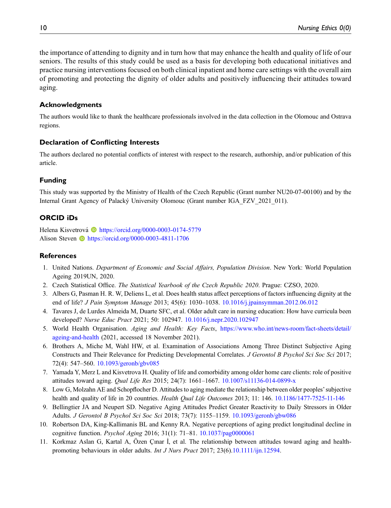the importance of attending to dignity and in turn how that may enhance the health and quality of life of our seniors. The results of this study could be used as a basis for developing both educational initiatives and practice nursing interventions focused on both clinical inpatient and home care settings with the overall aim of promoting and protecting the dignity of older adults and positively influencing their attitudes toward aging.

## Acknowledgments

The authors would like to thank the healthcare professionals involved in the data collection in the Olomouc and Ostrava regions.

## Declaration of Conflicting Interests

The authors declared no potential conflicts of interest with respect to the research, authorship, and/or publication of this article.

## Funding

This study was supported by the Ministry of Health of the Czech Republic (Grant number NU20-07-00100) and by the Internal Grant Agency of Palacky University Olomouc (Grant number IGA\_FZV\_2021\_011). ´

# ORCID iDs

Helena Kisvetrová<sup> in</sup> <https://orcid.org/0000-0003-0174-5779> Alison Steven **b** <https://orcid.org/0000-0003-4811-1706>

## References

- <span id="page-9-0"></span>1. United Nations. Department of Economic and Social Affairs, Population Division. New York: World Population Ageing 2019UN, 2020.
- <span id="page-9-1"></span>2. Czech Statistical Office. The Statistical Yearbook of the Czech Republic 2020. Prague: CZSO, 2020.
- <span id="page-9-2"></span>3. Albers G, Pasman H. R. W, Deliens L, et al. Does health status affect perceptions of factors influencing dignity at the end of life? J Pain Symptom Manage 2013; 45(6): 1030–1038. [10.1016/j.jpainsymman.2012.06.012](https://doi.org/10.1016/j.jpainsymman.2012.06.012)
- <span id="page-9-3"></span>4. Tavares J, de Lurdes Almeida M, Duarte SFC, et al. Older adult care in nursing education: How have curricula been developed? Nurse Educ Pract 2021; 50: 102947. [10.1016/j.nepr.2020.102947](https://doi.org/10.1016/j.nepr.2020.102947)
- <span id="page-9-4"></span>5. World Health Organisation. Aging and Health: Key Facts, [https://www.who.int/news-room/fact-sheets/detail/](https://www.who.int/news-room/fact-sheets/detail/ageing-and-health) [ageing-and-health](https://www.who.int/news-room/fact-sheets/detail/ageing-and-health) (2021, accessed 18 November 2021).
- <span id="page-9-5"></span>6. Brothers A, Miche M, Wahl HW, et al. Examination of Associations Among Three Distinct Subjective Aging Constructs and Their Relevance for Predicting Developmental Correlates. J Gerontol B Psychol Sci Soc Sci 2017; 72(4): 547–560. [10.1093/geronb/gbv085](https://doi.org/10.1093/geronb/gbv085)
- <span id="page-9-6"></span>7. Yamada Y, Merz L and Kisvetrova H. Quality of life and comorbidity among older home care clients: role of positive attitudes toward aging. Qual Life Res 2015; 24(7): 1661–1667. [10.1007/s11136-014-0899-x](https://doi.org/10.1007/s11136-014-0899-x)
- <span id="page-9-7"></span>8. Low G, Molzahn AE and Schopflocher D. Attitudes to aging mediate the relationship between older peoples'subjective health and quality of life in 20 countries. Health Qual Life Outcomes 2013; 11: 146. [10.1186/1477-7525-11-146](https://doi.org/10.1186/1477-7525-11-146)
- <span id="page-9-8"></span>9. Bellingtier JA and Neupert SD. Negative Aging Attitudes Predict Greater Reactivity to Daily Stressors in Older Adults. J Gerontol B Psychol Sci Soc Sci 2018; 73(7): 1155–1159. [10.1093/geronb/gbw086](https://doi.org/10.1093/geronb/gbw086)
- <span id="page-9-9"></span>10. Robertson DA, King-Kallimanis BL and Kenny RA. Negative perceptions of aging predict longitudinal decline in cognitive function. Psychol Aging 2016; 31(1): 71–81. [10.1037/pag0000061](https://doi.org/10.1037/pag0000061)
- <span id="page-9-10"></span>11. Korkmaz Aslan G, Kartal A, Özen Çınar İ, et al. The relationship between attitudes toward aging and healthpromoting behaviours in older adults. Int J Nurs Pract 2017; 23(6).[10.1111/ijn.12594.](https://doi.org/10.1111/ijn.12594)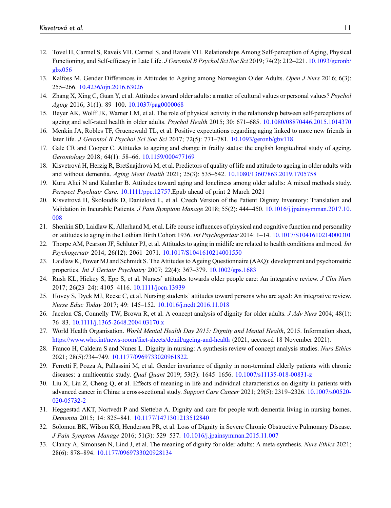- <span id="page-10-0"></span>12. Tovel H, Carmel S, Raveis VH. Carmel S, and Raveis VH. Relationships Among Self-perception of Aging, Physical Functioning, and Self-efficacy in Late Life. J Gerontol B Psychol Sci Soc Sci 2019; 74(2): 212–221. [10.1093/geronb/](https://doi.org/10.1093/geronb/gbx056) [gbx056](https://doi.org/10.1093/geronb/gbx056)
- <span id="page-10-1"></span>13. Kalfoss M. Gender Differences in Attitudes to Ageing among Norwegian Older Adults. Open J Nurs 2016; 6(3): 255–266. [10.4236/ojn.2016.63026](https://doi.org/10.4236/ojn.2016.63026)
- 14. Zhang X, Xing C, Guan Y, et al. Attitudes toward older adults: a matter of cultural values or personal values? Psychol Aging 2016; 31(1): 89–100. [10.1037/pag0000068](https://doi.org/10.1037/pag0000068)
- 15. Beyer AK, Wolff JK, Warner LM, et al. The role of physical activity in the relationship between self-perceptions of ageing and self-rated health in older adults. Psychol Health 2015; 30: 671–685. [10.1080/08870446.2015.1014370](https://doi.org/10.1080/08870446.2015.1014370)
- 16. Menkin JA, Robles TF, Gruenewald TL, et al. Positive expectations regarding aging linked to more new friends in later life. J Gerontol B Psychol Sci Soc Sci 2017; 72(5): 771–781. [10.1093/geronb/gbv118](https://doi.org/10.1093/geronb/gbv118)
- <span id="page-10-17"></span>17. Gale CR and Cooper C. Attitudes to ageing and change in frailty status: the english longitudinal study of ageing. Gerontology 2018; 64(1): 58–66. [10.1159/000477169](https://doi.org/10.1159/000477169)
- <span id="page-10-15"></span>18. Kisvetrová H, Herzig R, Bretšnajdrová M, et al. Predictors of quality of life and attitude to ageing in older adults with and without dementia. Aging Ment Health 2021; 25(3): 535–542. [10.1080/13607863.2019.1705758](https://doi.org/10.1080/13607863.2019.1705758)
- 19. Kuru Alici N and Kalanlar B. Attitudes toward aging and loneliness among older adults: A mixed methods study. Perspect Psychiatr Care. [10.1111/ppc.12757.](https://doi.org/10.1111/ppc.12757)Epub ahead of print 2 March 2021
- <span id="page-10-16"></span>20. Kisvetrová H, Školoudík D, Danielová L, et al. Czech Version of the Patient Dignity Inventory: Translation and Validation in Incurable Patients. J Pain Symptom Manage 2018; 55(2): 444–450. [10.1016/j.jpainsymman.2017.10.](https://doi.org/10.1016/j.jpainsymman.2017.10.008) [008](https://doi.org/10.1016/j.jpainsymman.2017.10.008)
- <span id="page-10-2"></span>21. Shenkin SD, Laidlaw K, Allerhand M, et al. Life course influences of physical and cognitive function and personality on attitudes to aging in the Lothian Birth Cohort 1936. Int Psychogeriatr 2014: 1–14. [10.1017/S1041610214000301](https://doi.org/10.1017/S1041610214000301)
- <span id="page-10-3"></span>22. Thorpe AM, Pearson JF, Schluter PJ, et al. Attitudes to aging in midlife are related to health conditions and mood. Int Psychogeriatr 2014; 26(12): 2061–2071. [10.1017/S1041610214001550](https://doi.org/10.1017/S1041610214001550)
- <span id="page-10-4"></span>23. Laidlaw K, Power MJ and Schmidt S. The Attitudes to Ageing Questionnaire (AAQ): development and psychometric properties. Int J Geriatr Psychiatry 2007; 22(4): 367–379. [10.1002/gps.1683](https://doi.org/10.1002/gps.1683)
- <span id="page-10-5"></span>24. Rush KL, Hickey S, Epp S, et al. Nurses' attitudes towards older people care: An integrative review. J Clin Nurs 2017; 26(23–24): 4105–4116. [10.1111/jocn.13939](https://doi.org/10.1111/jocn.13939)
- <span id="page-10-6"></span>25. Hovey S, Dyck MJ, Reese C, et al. Nursing students' attitudes toward persons who are aged: An integrative review. Nurse Educ Today 2017; 49: 145–152. [10.1016/j.nedt.2016.11.018](https://doi.org/10.1016/j.nedt.2016.11.018)
- <span id="page-10-7"></span>26. Jacelon CS, Connelly TW, Brown R, et al. A concept analysis of dignity for older adults. J Adv Nurs 2004; 48(1): 76–83. [10.1111/j.1365-2648.2004.03170.x](https://doi.org/10.1111/j.1365-2648.2004.03170.x)
- <span id="page-10-8"></span>27. World Health Organisation. World Mental Health Day 2015: Dignity and Mental Health, 2015. Information sheet, <https://www.who.int/news-room/fact-sheets/detail/ageing-and-health> (2021, accessed 18 November 2021).
- <span id="page-10-9"></span>28. Franco H, Caldeira S and Nunes L. Dignity in nursing: A synthesis review of concept analysis studies. Nurs Ethics 2021; 28(5):734–749. [10.1177/0969733020961822](https://doi.org/10.1177/0969733020961822).
- <span id="page-10-10"></span>29. Ferretti F, Pozza A, Pallassini M, et al. Gender invariance of dignity in non-terminal elderly patients with chronic diseases: a multicentric study. Qual Quant 2019; 53(3): 1645–1656. [10.1007/s11135-018-00831-z](https://doi.org/10.1007/s11135-018-00831-z)
- <span id="page-10-11"></span>30. Liu X, Liu Z, Cheng Q, et al. Effects of meaning in life and individual characteristics on dignity in patients with advanced cancer in China: a cross-sectional study. Support Care Cancer 2021; 29(5): 2319–2326. [10.1007/s00520-](https://doi.org/10.1007/s00520-020-05732-2) [020-05732-2](https://doi.org/10.1007/s00520-020-05732-2)
- <span id="page-10-12"></span>31. Heggestad AKT, Nortvedt P and Slettebø A. Dignity and care for people with dementia living in nursing homes. Dementia 2015; 14: 825–841. [10.1177/1471301213512840](https://doi.org/10.1177/1471301213512840)
- <span id="page-10-13"></span>32. Solomon BK, Wilson KG, Henderson PR, et al. Loss of Dignity in Severe Chronic Obstructive Pulmonary Disease. J Pain Symptom Manage 2016; 51(3): 529–537. [10.1016/j.jpainsymman.2015.11.007](https://doi.org/10.1016/j.jpainsymman.2015.11.007)
- <span id="page-10-14"></span>33. Clancy A, Simonsen N, Lind J, et al. The meaning of dignity for older adults: A meta-synthesis. Nurs Ethics 2021; 28(6): 878–894. [10.1177/0969733020928134](https://doi.org/10.1177/0969733020928134)